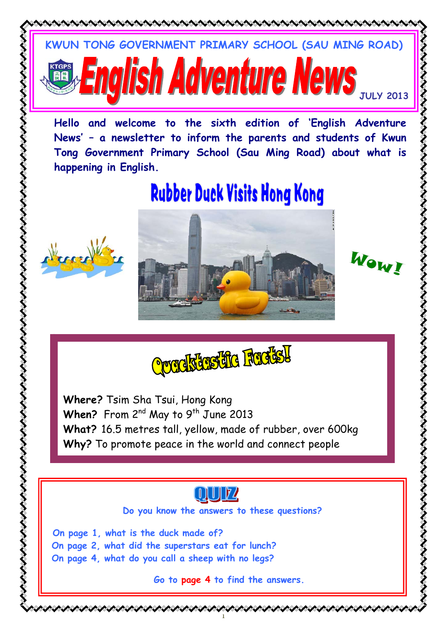



**Do you know the answers to these questions?** 

**On page 1, what is the duck made of? On page 2, what did the superstars eat for lunch? On page 4, what do you call a sheep with no legs?** 

**Go to page 4 to find the answers.** 

1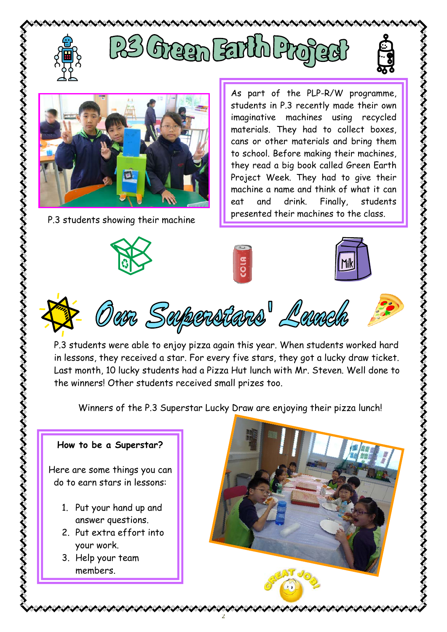





くそくさくさくさくさくさくさくさくさく

くそくそくそくさくさくさくさくさくさくさくさく



P.3 students showing their machine **P.3** students showing their machines to the class.



As part of the PLP-R/W programme, students in P.3 recently made their own imaginative machines using recycled materials. They had to collect boxes, cans or other materials and bring them to school. Before making their machines, they read a big book called Green Earth Project Week. They had to give their machine a name and think of what it can eat and drink. Finally, students





P.3 students were able to enjoy pizza again this year. When students worked hard in lessons, they received a star. For every five stars, they got a lucky draw ticket. Last month, 10 lucky students had a Pizza Hut lunch with Mr. Steven. Well done to the winners! Other students received small prizes too.

Winners of the P.3 Superstar Lucky Draw are enjoying their pizza lunch!

2

## **How to be a Superstar?**

Here are some things you can do to earn stars in lessons:

- 1. Put your hand up and answer questions.
- 2. Put extra effort into your work.
- 3. Help your team members.

ハントレック・フィン・フィン・フィン・フィン

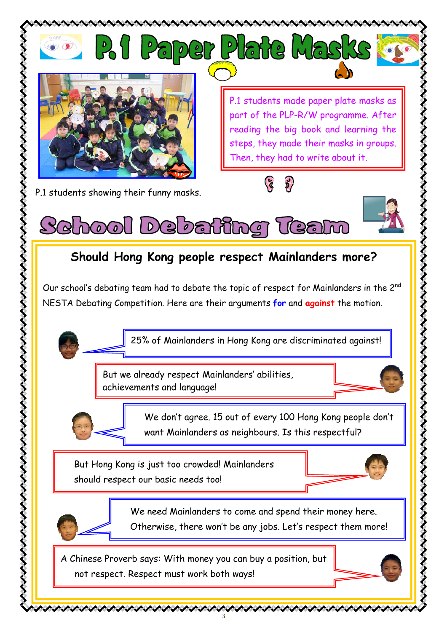

3